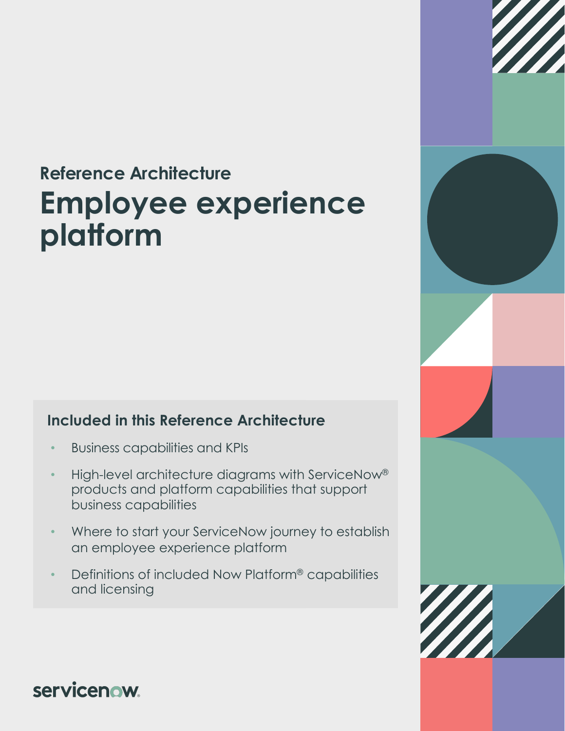# **Reference Architecture Employee experience platform**

#### **Included in this Reference Architecture**

- Business capabilities and KPIs
- High-level architecture diagrams with ServiceNow® products and platform capabilities that support business capabilities
- Where to start your ServiceNow journey to establish an employee experience platform
- Definitions of included Now Platform® capabilities and licensing



**servicenow**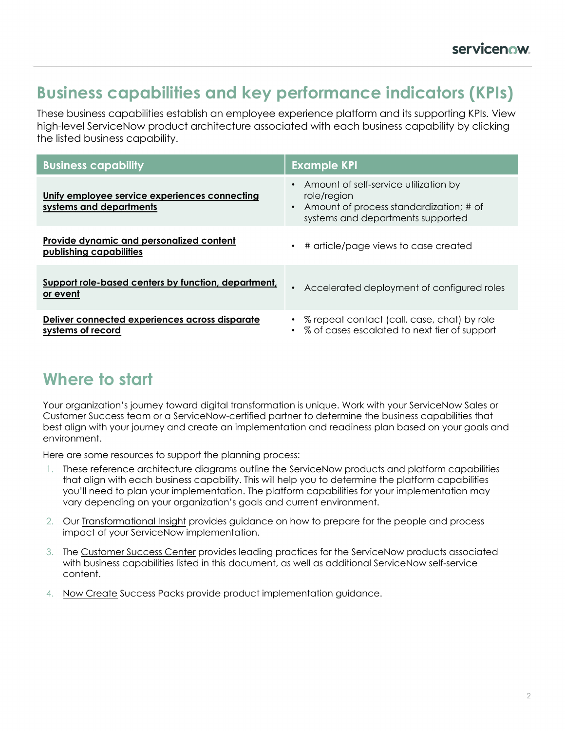### **Business capabilities and key performance indicators (KPIs)**

These business capabilities establish an employee experience platform and its supporting KPIs. View high-level ServiceNow product architecture associated with each business capability by clicking the listed business capability.

| <b>Business capability</b>                                               | <b>Example KPI</b>                                                                                                                     |
|--------------------------------------------------------------------------|----------------------------------------------------------------------------------------------------------------------------------------|
| Unify employee service experiences connecting<br>systems and departments | • Amount of self-service utilization by<br>role/region<br>Amount of process standardization; # of<br>systems and departments supported |
| Provide dynamic and personalized content<br>publishing capabilities      | # article/page views to case created<br>$\bullet$                                                                                      |
| Support role-based centers by function, department,<br>or event          | Accelerated deployment of configured roles                                                                                             |
| Deliver connected experiences across disparate<br>systems of record      | • % repeat contact (call, case, chat) by role<br>• % of cases escalated to next tier of support                                        |

## **Where to start**

Your organization's journey toward digital transformation is unique. Work with your ServiceNow Sales or Customer Success team or a ServiceNow-certified partner to determine the business capabilities that best align with your journey and create an implementation and readiness plan based on your goals and environment.

Here are some resources to support the planning process:

- 1. These reference architecture diagrams outline the ServiceNow products and platform capabilities that align with each business capability. This will help you to determine the platform capabilities you'll need to plan your implementation. The platform capabilities for your implementation may vary depending on your organization's goals and current environment.
- 2. Our [Transformational Insight](https://www.servicenow.com/content/dam/servicenow-assets/public/en-us/doc-type/success/transformation/employee-experience-platform.pdf) provides guidance on how to prepare for the people and process impact of your ServiceNow implementation.
- 3. The [Customer Success Center](https://www.servicenow.com/success.html) provides leading practices for the ServiceNow products associated with business capabilities listed in this document, as well as additional ServiceNow self-service content.
- 4. [Now Create](https://nowlearning.service-now.com/nowcreate) Success Packs provide product implementation guidance.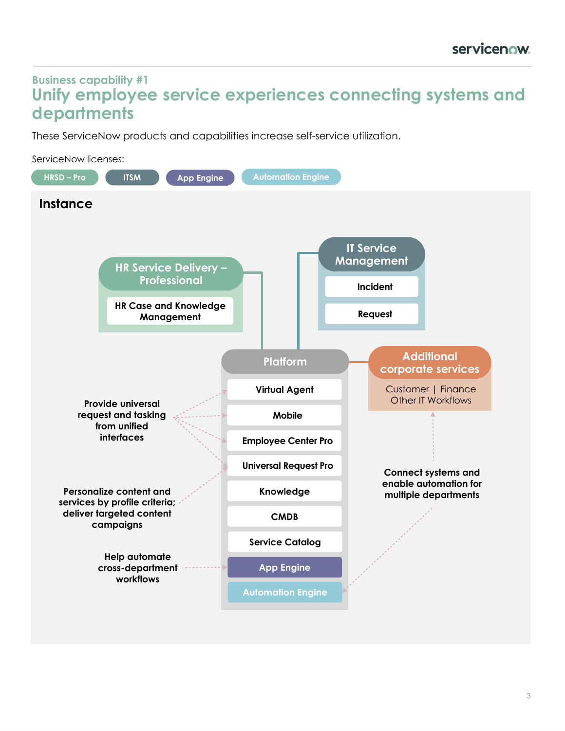#### <span id="page-2-0"></span>**Business capability #1 Unify employee service experiences connecting systems and departments**

These ServiceNow products and capabilities increase self-service utilization.

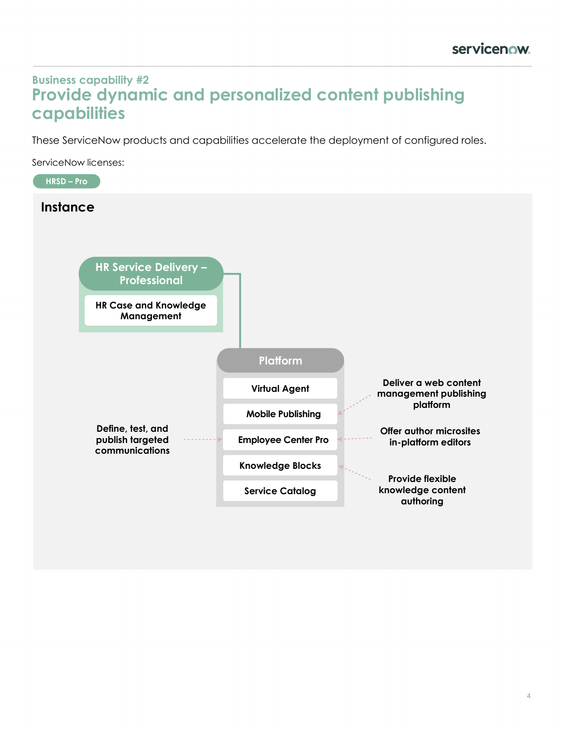#### <span id="page-3-0"></span>**Business capability #2 Provide dynamic and personalized content publishing capabilities**

These ServiceNow products and capabilities accelerate the deployment of configured roles.

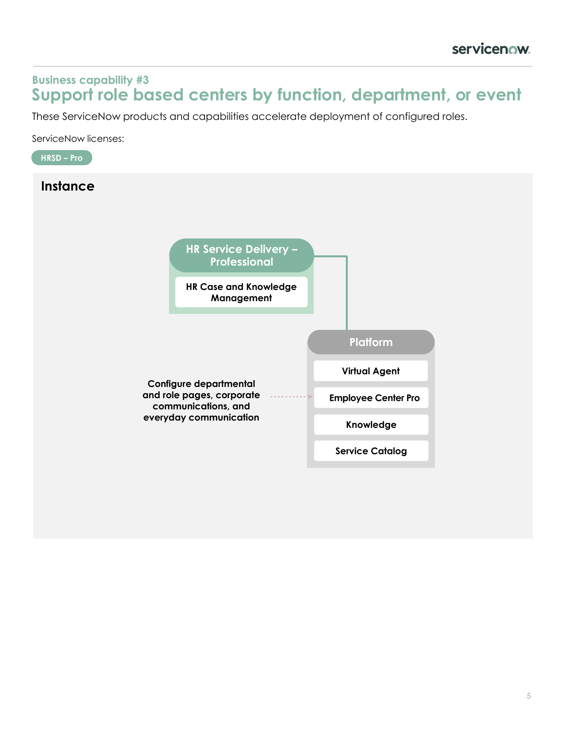#### <span id="page-4-0"></span>**Business capability #3 Support role based centers by function, department, or event**

These ServiceNow products and capabilities accelerate deployment of configured roles.

ServiceNow licenses:

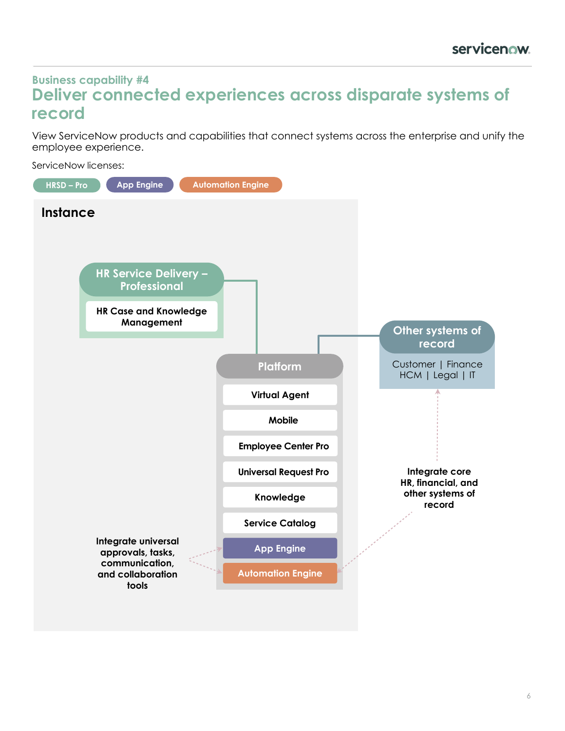#### <span id="page-5-0"></span>**Business capability #4 Deliver connected experiences across disparate systems of record**

View ServiceNow products and capabilities that connect systems across the enterprise and unify the employee experience.

ServiceNow licenses:

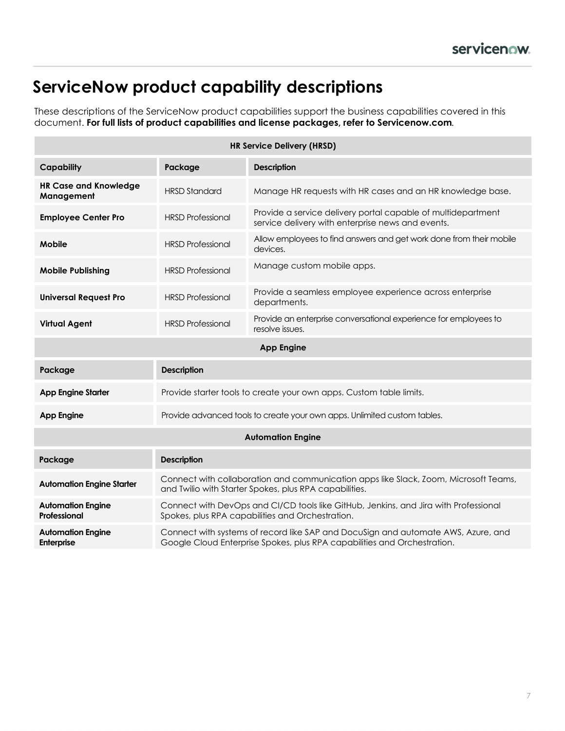## **ServiceNow product capability descriptions**

These descriptions of the ServiceNow product capabilities support the business capabilities covered in this document. **For full lists of product capabilities and license packages, refer to Servicenow.com***.*

| <b>HR Service Delivery (HRSD)</b>          |                                                                                                                                                               |                                                                                                                   |  |
|--------------------------------------------|---------------------------------------------------------------------------------------------------------------------------------------------------------------|-------------------------------------------------------------------------------------------------------------------|--|
| <b>Capability</b>                          | Package                                                                                                                                                       | <b>Description</b>                                                                                                |  |
| <b>HR Case and Knowledge</b><br>Management | <b>HRSD Standard</b>                                                                                                                                          | Manage HR requests with HR cases and an HR knowledge base.                                                        |  |
| <b>Employee Center Pro</b>                 | <b>HRSD Professional</b>                                                                                                                                      | Provide a service delivery portal capable of multidepartment<br>service delivery with enterprise news and events. |  |
| <b>Mobile</b>                              | <b>HRSD Professional</b>                                                                                                                                      | Allow employees to find answers and get work done from their mobile<br>devices.                                   |  |
| <b>Mobile Publishing</b>                   | <b>HRSD Professional</b>                                                                                                                                      | Manage custom mobile apps.                                                                                        |  |
| <b>Universal Request Pro</b>               | <b>HRSD Professional</b>                                                                                                                                      | Provide a seamless employee experience across enterprise<br>departments.                                          |  |
| <b>Virtual Agent</b>                       | <b>HRSD Professional</b>                                                                                                                                      | Provide an enterprise conversational experience for employees to<br>resolve issues.                               |  |
| <b>App Engine</b>                          |                                                                                                                                                               |                                                                                                                   |  |
| Package                                    | <b>Description</b>                                                                                                                                            |                                                                                                                   |  |
| <b>App Engine Starter</b>                  | Provide starter tools to create your own apps. Custom table limits.                                                                                           |                                                                                                                   |  |
| <b>App Engine</b>                          | Provide advanced tools to create your own apps. Unlimited custom tables.                                                                                      |                                                                                                                   |  |
| <b>Automation Engine</b>                   |                                                                                                                                                               |                                                                                                                   |  |
| Package                                    | <b>Description</b>                                                                                                                                            |                                                                                                                   |  |
| <b>Automation Engine Starter</b>           | Connect with collaboration and communication apps like Slack, Zoom, Microsoft Teams,<br>and Twilio with Starter Spokes, plus RPA capabilities.                |                                                                                                                   |  |
| <b>Automation Engine</b><br>Professional   | Connect with DevOps and CI/CD tools like GitHub, Jenkins, and Jira with Professional<br>Spokes, plus RPA capabilities and Orchestration.                      |                                                                                                                   |  |
| <b>Automation Engine</b><br>Enterprise     | Connect with systems of record like SAP and DocuSign and automate AWS, Azure, and<br>Google Cloud Enterprise Spokes, plus RPA capabilities and Orchestration. |                                                                                                                   |  |